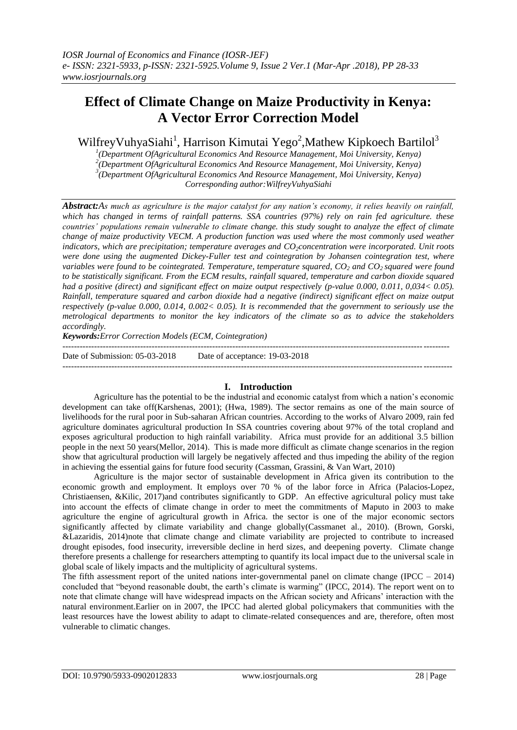# **Effect of Climate Change on Maize Productivity in Kenya: A Vector Error Correction Model**

WilfreyVuhyaSiahi<sup>1</sup>, Harrison Kimutai Yego<sup>2</sup>, Mathew Kipkoech Bartilol<sup>3</sup>

 *(Department OfAgricultural Economics And Resource Management, Moi University, Kenya) (Department OfAgricultural Economics And Resource Management, Moi University, Kenya) (Department OfAgricultural Economics And Resource Management, Moi University, Kenya) Corresponding author:WilfreyVuhyaSiahi*

*Abstract:As much as agriculture is the major catalyst for any nation's economy, it relies heavily on rainfall, which has changed in terms of rainfall patterns. SSA countries (97%) rely on rain fed agriculture. these countries' populations remain vulnerable to climate change. this study sought to analyze the effect of climate change of maize productivity VECM. A production function was used where the most commonly used weather indicators, which are precipitation; temperature averages and CO2concentration were incorporated. Unit roots were done using the augmented Dickey-Fuller test and cointegration by Johansen cointegration test, where variables were found to be cointegrated. Temperature, temperature squared, CO<sup>2</sup> and CO2 squared were found to be statistically significant. From the ECM results, rainfall squared, temperature and carbon dioxide squared had a positive (direct) and significant effect on maize output respectively (p-value 0.000, 0.011, 0,034< 0.05). Rainfall, temperature squared and carbon dioxide had a negative (indirect) significant effect on maize output respectively (p-value 0.000, 0.014, 0.002< 0.05). It is recommended that the government to seriously use the metrological departments to monitor the key indicators of the climate so as to advice the stakeholders accordingly.* 

*Keywords:Error Correction Models (ECM, Cointegration)*

-------------------------------------------------------------------------------------------------------------------------------------- Date of Submission: 05-03-2018 Date of acceptance: 19-03-2018

---------------------------------------------------------------------------------------------------------------------------------------

#### **I. Introduction**

Agriculture has the potential to be the industrial and economic catalyst from which a nation"s economic development can take off(Karshenas, 2001); (Hwa, 1989). The sector remains as one of the main source of livelihoods for the rural poor in Sub-saharan African countries. According to the works of Alvaro 2009, rain fed agriculture dominates agricultural production In SSA countries covering about 97% of the total cropland and exposes agricultural production to high rainfall variability. Africa must provide for an additional 3.5 billion people in the next 50 years(Mellor, 2014). This is made more difficult as climate change scenarios in the region show that agricultural production will largely be negatively affected and thus impeding the ability of the region in achieving the essential gains for future food security (Cassman, Grassini, & Van Wart, 2010)

Agriculture is the major sector of sustainable development in Africa given its contribution to the economic growth and employment. It employs over 70 % of the labor force in Africa (Palacios-Lopez, Christiaensen, &Kilic, 2017)and contributes significantly to GDP. An effective agricultural policy must take into account the effects of climate change in order to meet the commitments of Maputo in 2003 to make agriculture the engine of agricultural growth in Africa. the sector is one of the major economic sectors significantly affected by climate variability and change globally(Cassmanet al., 2010). (Brown, Gorski, &Lazaridis, 2014)note that climate change and climate variability are projected to contribute to increased drought episodes, food insecurity, irreversible decline in herd sizes, and deepening poverty. Climate change therefore presents a challenge for researchers attempting to quantify its local impact due to the universal scale in global scale of likely impacts and the multiplicity of agricultural systems.

The fifth assessment report of the united nations inter-governmental panel on climate change (IPCC – 2014) concluded that "beyond reasonable doubt, the earth"s climate is warming" (IPCC, 2014). The report went on to note that climate change will have widespread impacts on the African society and Africans" interaction with the natural environment.Earlier on in 2007, the IPCC had alerted global policymakers that communities with the least resources have the lowest ability to adapt to climate-related consequences and are, therefore, often most vulnerable to climatic changes.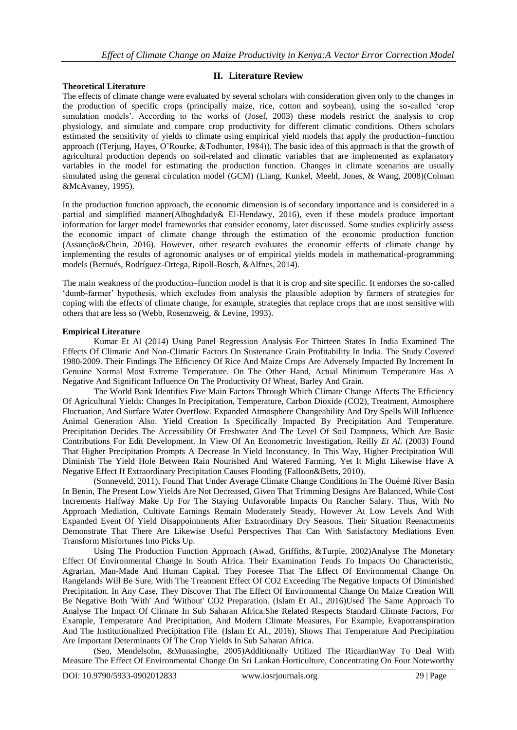#### **Theoretical Literature**

#### **II. Literature Review**

The effects of climate change were evaluated by several scholars with consideration given only to the changes in the production of specific crops (principally maize, rice, cotton and soybean), using the so-called "crop simulation models'. According to the works of (Josef, 2003) these models restrict the analysis to crop physiology, and simulate and compare crop productivity for different climatic conditions. Others scholars estimated the sensitivity of yields to climate using empirical yield models that apply the production–function approach ((Terjung, Hayes, O"Rourke, &Todhunter, 1984)). The basic idea of this approach is that the growth of agricultural production depends on soil-related and climatic variables that are implemented as explanatory variables in the model for estimating the production function. Changes in climate scenarios are usually simulated using the general circulation model (GCM) (Liang, Kunkel, Meehl, Jones, & Wang, 2008)(Colman &McAvaney, 1995).

In the production function approach, the economic dimension is of secondary importance and is considered in a partial and simplified manner(Alboghdady& El-Hendawy, 2016), even if these models produce important information for larger model frameworks that consider economy, later discussed. Some studies explicitly assess the economic impact of climate change through the estimation of the economic production function (Assunção&Chein, 2016). However, other research evaluates the economic effects of climate change by implementing the results of agronomic analyses or of empirical yields models in mathematical-programming models (Bernués, Rodríguez-Ortega, Ripoll-Bosch, &Alfnes, 2014).

The main weakness of the production–function model is that it is crop and site specific. It endorses the so-called "dumb-farmer" hypothesis, which excludes from analysis the plausible adoption by farmers of strategies for coping with the effects of climate change, for example, strategies that replace crops that are most sensitive with others that are less so (Webb, Rosenzweig, & Levine, 1993).

#### **Empirical Literature**

Kumar Et Al (2014) Using Panel Regression Analysis For Thirteen States In India Examined The Effects Of Climatic And Non-Climatic Factors On Sustenance Grain Profitability In India. The Study Covered 1980-2009. Their Findings The Efficiency Of Rice And Maize Crops Are Adversely Impacted By Increment In Genuine Normal Most Extreme Temperature. On The Other Hand, Actual Minimum Temperature Has A Negative And Significant Influence On The Productivity Of Wheat, Barley And Grain.

The World Bank Identifies Five Main Factors Through Which Climate Change Affects The Efficiency Of Agricultural Yields: Changes In Precipitation, Temperature, Carbon Dioxide (CO2), Treatment, Atmosphere Fluctuation, And Surface Water Overflow. Expanded Atmosphere Changeability And Dry Spells Will Influence Animal Generation Also. Yield Creation Is Specifically Impacted By Precipitation And Temperature. Precipitation Decides The Accessibility Of Freshwater And The Level Of Soil Dampness, Which Are Basic Contributions For Edit Development. In View Of An Econometric Investigation, Reilly *Et Al*. (2003) Found That Higher Precipitation Prompts A Decrease In Yield Inconstancy. In This Way, Higher Precipitation Will Diminish The Yield Hole Between Rain Nourished And Watered Farming, Yet It Might Likewise Have A Negative Effect If Extraordinary Precipitation Causes Flooding (Falloon&Betts, 2010).

(Sonneveld, 2011), Found That Under Average Climate Change Conditions In The Ouémé River Basin In Benin, The Present Low Yields Are Not Decreased, Given That Trimming Designs Are Balanced, While Cost Increments Halfway Make Up For The Staying Unfavorable Impacts On Rancher Salary. Thus, With No Approach Mediation, Cultivate Earnings Remain Moderately Steady, However At Low Levels And With Expanded Event Of Yield Disappointments After Extraordinary Dry Seasons. Their Situation Reenactments Demonstrate That There Are Likewise Useful Perspectives That Can With Satisfactory Mediations Even Transform Misfortunes Into Picks Up.

Using The Production Function Approach (Awad, Griffiths, &Turpie, 2002)Analyse The Monetary Effect Of Environmental Change In South Africa. Their Examination Tends To Impacts On Characteristic, Agrarian, Man-Made And Human Capital. They Foresee That The Effect Of Environmental Change On Rangelands Will Be Sure, With The Treatment Effect Of CO2 Exceeding The Negative Impacts Of Diminished Precipitation. In Any Case, They Discover That The Effect Of Environmental Change On Maize Creation Will Be Negative Both 'With' And 'Without' CO2 Preparation. (Islam Et Al., 2016)Used The Same Approach To Analyse The Impact Of Climate In Sub Saharan Africa.She Related Respects Standard Climate Factors, For Example, Temperature And Precipitation, And Modern Climate Measures, For Example, Evapotranspiration And The Institutionalized Precipitation File. (Islam Et Al., 2016), Shows That Temperature And Precipitation Are Important Determinants Of The Crop Yields In Sub Saharan Africa.

(Seo, Mendelsohn, &Munasinghe, 2005)Additionally Utilized The RicardianWay To Deal With Measure The Effect Of Environmental Change On Sri Lankan Horticulture, Concentrating On Four Noteworthy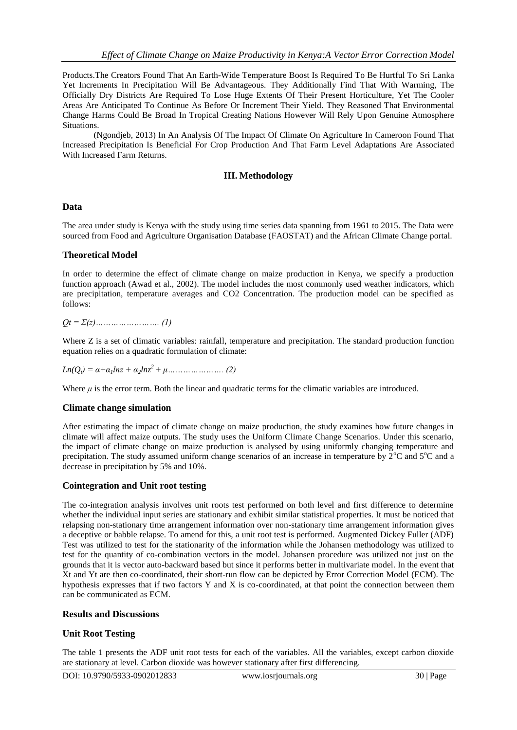Products.The Creators Found That An Earth-Wide Temperature Boost Is Required To Be Hurtful To Sri Lanka Yet Increments In Precipitation Will Be Advantageous. They Additionally Find That With Warming, The Officially Dry Districts Are Required To Lose Huge Extents Of Their Present Horticulture, Yet The Cooler Areas Are Anticipated To Continue As Before Or Increment Their Yield. They Reasoned That Environmental Change Harms Could Be Broad In Tropical Creating Nations However Will Rely Upon Genuine Atmosphere Situations.

(Ngondjeb, 2013) In An Analysis Of The Impact Of Climate On Agriculture In Cameroon Found That Increased Precipitation Is Beneficial For Crop Production And That Farm Level Adaptations Are Associated With Increased Farm Returns.

# **III. Methodology**

# **Data**

The area under study is Kenya with the study using time series data spanning from 1961 to 2015. The Data were sourced from Food and Agriculture Organisation Database (FAOSTAT) and the African Climate Change portal.

# **Theoretical Model**

In order to determine the effect of climate change on maize production in Kenya, we specify a production function approach (Awad et al., 2002). The model includes the most commonly used weather indicators, which are precipitation, temperature averages and CO2 Concentration. The production model can be specified as follows:

*Qt = Σ(z)……………………. (1)*

Where Z is a set of climatic variables: rainfall, temperature and precipitation. The standard production function equation relies on a quadratic formulation of climate:

*Ln(Qt) = α+α1lnz + α2lnz<sup>2</sup>+ μ…………………. (2)*

Where  $\mu$  is the error term. Both the linear and quadratic terms for the climatic variables are introduced.

# **Climate change simulation**

After estimating the impact of climate change on maize production, the study examines how future changes in climate will affect maize outputs. The study uses the Uniform Climate Change Scenarios. Under this scenario, the impact of climate change on maize production is analysed by using uniformly changing temperature and precipitation. The study assumed uniform change scenarios of an increase in temperature by  $2^{\circ}C$  and  $5^{\circ}C$  and a decrease in precipitation by 5% and 10%.

#### **Cointegration and Unit root testing**

The co-integration analysis involves unit roots test performed on both level and first difference to determine whether the individual input series are stationary and exhibit similar statistical properties. It must be noticed that relapsing non-stationary time arrangement information over non-stationary time arrangement information gives a deceptive or babble relapse. To amend for this, a unit root test is performed. Augmented Dickey Fuller (ADF) Test was utilized to test for the stationarity of the information while the Johansen methodology was utilized to test for the quantity of co-combination vectors in the model. Johansen procedure was utilized not just on the grounds that it is vector auto-backward based but since it performs better in multivariate model. In the event that Xt and Yt are then co-coordinated, their short-run flow can be depicted by Error Correction Model (ECM). The hypothesis expresses that if two factors Y and X is co-coordinated, at that point the connection between them can be communicated as ECM.

# **Results and Discussions**

# **Unit Root Testing**

The table 1 presents the ADF unit root tests for each of the variables. All the variables, except carbon dioxide are stationary at level. Carbon dioxide was however stationary after first differencing.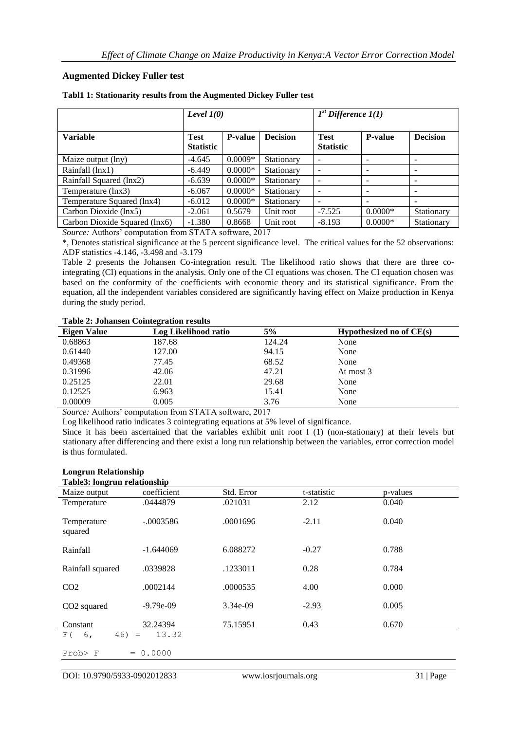# **Augmented Dickey Fuller test**

|                               | Level $1(0)$                    |                |                 | $1st$ Difference $1(1)$         |                |                 |
|-------------------------------|---------------------------------|----------------|-----------------|---------------------------------|----------------|-----------------|
| <b>Variable</b>               | <b>Test</b><br><b>Statistic</b> | <b>P-value</b> | <b>Decision</b> | <b>Test</b><br><b>Statistic</b> | <b>P-value</b> | <b>Decision</b> |
| Maize output (lny)            | $-4.645$                        | $0.0009*$      | Stationary      |                                 |                |                 |
| Rainfall (lnx1)               | $-6.449$                        | $0.0000*$      | Stationary      |                                 |                | -               |
| Rainfall Squared (lnx2)       | $-6.639$                        | $0.0000*$      | Stationary      |                                 |                | -               |
| Temperature (lnx3)            | $-6.067$                        | $0.0000*$      | Stationary      |                                 |                |                 |
| Temperature Squared (lnx4)    | $-6.012$                        | $0.0000*$      | Stationary      |                                 |                |                 |
| Carbon Dioxide (lnx5)         | $-2.061$                        | 0.5679         | Unit root       | $-7.525$                        | $0.0000*$      | Stationary      |
| Carbon Dioxide Squared (lnx6) | $-1.380$                        | 0.8668         | Unit root       | $-8.193$                        | $0.0000*$      | Stationary      |

#### **Tabl1 1: Stationarity results from the Augmented Dickey Fuller test**

Source: Authors' computation from STATA software, 2017

\*, Denotes statistical significance at the 5 percent significance level. The critical values for the 52 observations: ADF statistics -4.146, -3.498 and -3.179

Table 2 presents the Johansen Co-integration result. The likelihood ratio shows that there are three cointegrating (CI) equations in the analysis. Only one of the CI equations was chosen. The CI equation chosen was based on the conformity of the coefficients with economic theory and its statistical significance. From the equation, all the independent variables considered are significantly having effect on Maize production in Kenya during the study period.

#### **Table 2: Johansen Cointegration results**

| Tuote === o ottumotii comitentuoti i courto |                      |        |                            |  |  |
|---------------------------------------------|----------------------|--------|----------------------------|--|--|
| Eigen Value                                 | Log Likelihood ratio | 5%     | Hypothesized no of $CE(s)$ |  |  |
| 0.68863                                     | 187.68               | 124.24 | None                       |  |  |
| 0.61440                                     | 127.00               | 94.15  | None                       |  |  |
| 0.49368                                     | 77.45                | 68.52  | None                       |  |  |
| 0.31996                                     | 42.06                | 47.21  | At most 3                  |  |  |
| 0.25125                                     | 22.01                | 29.68  | None                       |  |  |
| 0.12525                                     | 6.963                | 15.41  | None                       |  |  |
| 0.00009                                     | 0.005                | 3.76   | None                       |  |  |
|                                             |                      |        |                            |  |  |

Source: Authors' computation from STATA software, 2017

Log likelihood ratio indicates 3 cointegrating equations at 5% level of significance.

Since it has been ascertained that the variables exhibit unit root I (1) (non-stationary) at their levels but stationary after differencing and there exist a long run relationship between the variables, error correction model is thus formulated.

#### **Longrun Relationship Table3: longrun relationship**

| Tables; foligrum relationship |                                            |            |             |          |
|-------------------------------|--------------------------------------------|------------|-------------|----------|
| Maize output                  | coefficient                                | Std. Error | t-statistic | p-values |
| Temperature                   | .0444879                                   | .021031    | 2.12        | 0.040    |
| Temperature<br>squared        | $-.0003586$                                | .0001696   | $-2.11$     | 0.040    |
| Rainfall                      | $-1.644069$                                | 6.088272   | $-0.27$     | 0.788    |
| Rainfall squared              | .0339828                                   | .1233011   | 0.28        | 0.784    |
| CO <sub>2</sub>               | .0002144                                   | .0000535   | 4.00        | 0.000    |
| CO <sub>2</sub> squared       | $-9.79e-09$                                | 3.34e-09   | $-2.93$     | 0.005    |
| Constant                      | 32.24394                                   | 75.15951   | 0.43        | 0.670    |
| 6,<br>46)<br>F(               | 13.32<br>$\hspace{0.1cm} = \hspace{0.1cm}$ |            |             |          |
| Prob> F<br>$=$                | 0.0000                                     |            |             |          |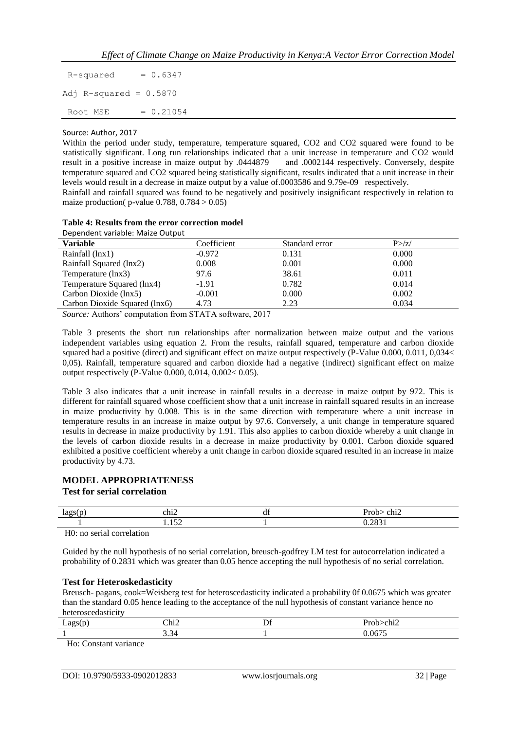$R$ -squared =  $0.6347$ Adj R-squared =  $0.5870$  $Root MSE = 0.21054$ 

#### Source: Author, 2017

Within the period under study, temperature, temperature squared, CO2 and CO2 squared were found to be statistically significant. Long run relationships indicated that a unit increase in temperature and CO2 would result in a positive increase in maize output by .0444879 and .0002144 respectively. Conversely, despite temperature squared and CO2 squared being statistically significant, results indicated that a unit increase in their levels would result in a decrease in maize output by a value of.0003586 and 9.79e-09 respectively. Rainfall and rainfall squared was found to be negatively and positively insignificant respectively in relation to

maize production( $p$ -value 0.788, 0.784  $> 0.05$ )

|                                  |  |  | Table 4: Results from the error correction model |  |
|----------------------------------|--|--|--------------------------------------------------|--|
| Dependent variable: Maize Output |  |  |                                                  |  |

| Dependent variable: Maize Output |             |                |         |  |
|----------------------------------|-------------|----------------|---------|--|
| <b>Variable</b>                  | Coefficient | Standard error | P > /z/ |  |
| Rainfall (lnx1)                  | $-0.972$    | 0.131          | 0.000   |  |
| Rainfall Squared (lnx2)          | 0.008       | 0.001          | 0.000   |  |
| Temperature (lnx3)               | 97.6        | 38.61          | 0.011   |  |
| Temperature Squared (lnx4)       | $-1.91$     | 0.782          | 0.014   |  |
| Carbon Dioxide (lnx5)            | $-0.001$    | 0.000          | 0.002   |  |
| Carbon Dioxide Squared (lnx6)    | 4.73        | 2.23           | 0.034   |  |
|                                  |             |                |         |  |

Source: Authors' computation from STATA software, 2017

Table 3 presents the short run relationships after normalization between maize output and the various independent variables using equation 2. From the results, rainfall squared, temperature and carbon dioxide squared had a positive (direct) and significant effect on maize output respectively (P-Value 0.000, 0.011, 0,034< 0,05). Rainfall, temperature squared and carbon dioxide had a negative (indirect) significant effect on maize output respectively (P-Value 0.000, 0.014, 0.002< 0.05).

Table 3 also indicates that a unit increase in rainfall results in a decrease in maize output by 972. This is different for rainfall squared whose coefficient show that a unit increase in rainfall squared results in an increase in maize productivity by 0.008. This is in the same direction with temperature where a unit increase in temperature results in an increase in maize output by 97.6. Conversely, a unit change in temperature squared results in decrease in maize productivity by 1.91. This also applies to carbon dioxide whereby a unit change in the levels of carbon dioxide results in a decrease in maize productivity by 0.001. Carbon dioxide squared exhibited a positive coefficient whereby a unit change in carbon dioxide squared resulted in an increase in maize productivity by 4.73.

# **MODEL APPROPRIATENESS**

# **Test for serial correlation**

| m | . .<br>≏hi∠ | u | . .<br>- -<br>আ∠ |  |
|---|-------------|---|------------------|--|
|   | $ -$        |   | $\sim$ $\sim$    |  |

H0: no serial correlation

Guided by the null hypothesis of no serial correlation, breusch-godfrey LM test for autocorrelation indicated a probability of 0.2831 which was greater than 0.05 hence accepting the null hypothesis of no serial correlation.

# **Test for Heteroskedasticity**

Breusch- pagans, cook=Weisberg test for heteroscedasticity indicated a probability 0f 0.0675 which was greater than the standard 0.05 hence leading to the acceptance of the null hypothesis of constant variance hence no heteroscedasticity

| -- | $\text{Chi}_{\text{z}}$<br>. . | IJ | oи<br>the contract of the contract of the |
|----|--------------------------------|----|-------------------------------------------|
|    | ້<br>___                       |    | $- - -$<br>ır                             |

Ho: Constant variance